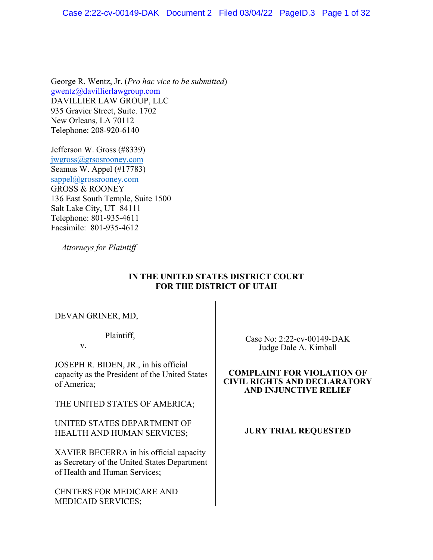George R. Wentz, Jr. (*Pro hac vice to be submitted*) [gwentz@davillierlawgroup.com](mailto:gwentz@davillierlawgroup.com) DAVILLIER LAW GROUP, LLC 935 Gravier Street, Suite. 1702 New Orleans, LA 70112 Telephone: 208-920-6140

Jefferson W. Gross (#8339) [jwgross@grsosrooney.com](mailto:jwgross@grsosrooney.com) Seamus W. Appel (#17783) [sappel@grossrooney.com](mailto:sappel@grossrooney.com) GROSS & ROONEY 136 East South Temple, Suite 1500 Salt Lake City, UT 84111 Telephone: 801-935-4611 Facsimile: 801-935-4612

*Attorneys for Plaintiff*

# **IN THE UNITED STATES DISTRICT COURT FOR THE DISTRICT OF UTAH**

## DEVAN GRINER, MD,

Plaintiff,

v.

JOSEPH R. BIDEN, JR., in his official capacity as the President of the United States of America;

THE UNITED STATES OF AMERICA;

UNITED STATES DEPARTMENT OF HEALTH AND HUMAN SERVICES;

XAVIER BECERRA in his official capacity as Secretary of the United States Department of Health and Human Services;

CENTERS FOR MEDICARE AND MEDICAID SERVICES;

Case No: 2:22-cv-00149-DAK Judge Dale A. Kimball

### **COMPLAINT FOR VIOLATION OF CIVIL RIGHTS AND DECLARATORY AND INJUNCTIVE RELIEF**

## **JURY TRIAL REQUESTED**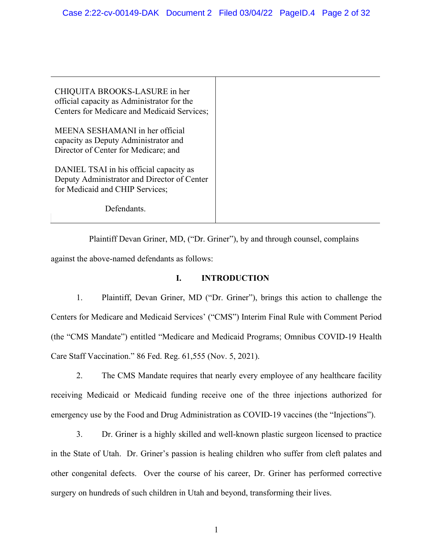CHIQUITA BROOKS-LASURE in her official capacity as Administrator for the Centers for Medicare and Medicaid Services;

MEENA SESHAMANI in her official capacity as Deputy Administrator and Director of Center for Medicare; and

DANIEL TSAI in his official capacity as Deputy Administrator and Director of Center for Medicaid and CHIP Services;

Defendants.

Plaintiff Devan Griner, MD, ("Dr. Griner"), by and through counsel, complains against the above-named defendants as follows:

## **I. INTRODUCTION**

1. Plaintiff, Devan Griner, MD ("Dr. Griner"), brings this action to challenge the Centers for Medicare and Medicaid Services' ("CMS") Interim Final Rule with Comment Period (the "CMS Mandate") entitled "Medicare and Medicaid Programs; Omnibus COVID-19 Health Care Staff Vaccination." 86 Fed. Reg. 61,555 (Nov. 5, 2021).

2. The CMS Mandate requires that nearly every employee of any healthcare facility receiving Medicaid or Medicaid funding receive one of the three injections authorized for emergency use by the Food and Drug Administration as COVID-19 vaccines (the "Injections").

3. Dr. Griner is a highly skilled and well-known plastic surgeon licensed to practice in the State of Utah. Dr. Griner's passion is healing children who suffer from cleft palates and other congenital defects. Over the course of his career, Dr. Griner has performed corrective surgery on hundreds of such children in Utah and beyond, transforming their lives.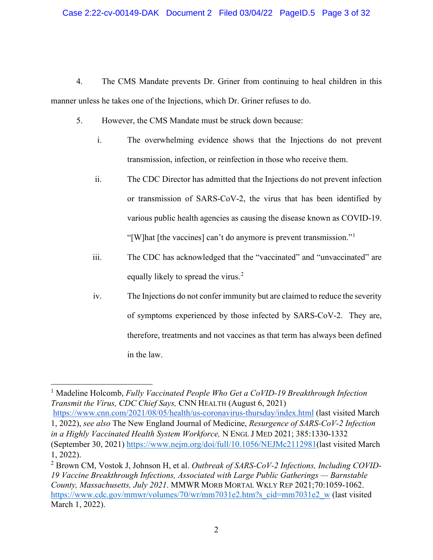4. The CMS Mandate prevents Dr. Griner from continuing to heal children in this manner unless he takes one of the Injections, which Dr. Griner refuses to do.

- 5. However, the CMS Mandate must be struck down because:
	- i. The overwhelming evidence shows that the Injections do not prevent transmission, infection, or reinfection in those who receive them.
	- ii. The CDC Director has admitted that the Injections do not prevent infection or transmission of SARS-CoV-2, the virus that has been identified by various public health agencies as causing the disease known as COVID-19. "[W]hat [the vaccines] can't do anymore is prevent transmission."[1](#page-2-0)
	- iii. The CDC has acknowledged that the "vaccinated" and "unvaccinated" are equally likely to spread the virus.<sup>[2](#page-2-1)</sup>
	- iv. The Injections do not confer immunity but are claimed to reduce the severity of symptoms experienced by those infected by SARS-CoV-2. They are, therefore, treatments and not vaccines as that term has always been defined in the law.

<https://www.cnn.com/2021/08/05/health/us-coronavirus-thursday/index.html> (last visited March 1, 2022), *see also* The New England Journal of Medicine, *Resurgence of SARS-CoV-2 Infection in a Highly Vaccinated Health System Workforce,* N ENGL J MED 2021; 385:1330-1332 (September 30, 2021) [https://www.nejm.org/doi/full/10.1056/NEJMc2112981\(](https://www.nejm.org/doi/full/10.1056/NEJMc2112981)last visited March 1, 2022).

<span id="page-2-0"></span><sup>&</sup>lt;sup>1</sup> Madeline Holcomb, *Fully Vaccinated People Who Get a CoVID-19 Breakthrough Infection Transmit the Virus, CDC Chief Says,* CNN HEALTH (August 6, 2021)

<span id="page-2-1"></span><sup>2</sup> Brown CM, Vostok J, Johnson H, et al. *Outbreak of SARS-CoV-2 Infections, Including COVID-19 Vaccine Breakthrough Infections, Associated with Large Public Gatherings — Barnstable County, Massachusetts, July 2021*. MMWR MORB MORTAL WKLY REP 2021;70:1059-1062. [https://www.cdc.gov/mmwr/volumes/70/wr/mm7031e2.htm?s\\_cid=mm7031e2\\_w](https://www.cdc.gov/mmwr/volumes/70/wr/mm7031e2.htm?s_cid=mm7031e2_w) (last visited March 1, 2022).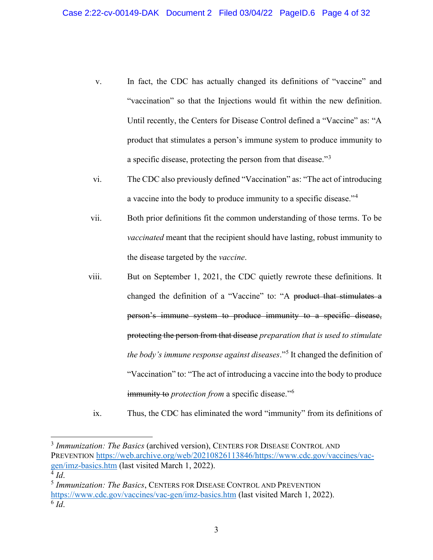- v. In fact, the CDC has actually changed its definitions of "vaccine" and "vaccination" so that the Injections would fit within the new definition. Until recently, the Centers for Disease Control defined a "Vaccine" as: "A product that stimulates a person's immune system to produce immunity to a specific disease, protecting the person from that disease."[3](#page-3-0)
- vi. The CDC also previously defined "Vaccination" as: "The act of introducing a vaccine into the body to produce immunity to a specific disease."[4](#page-3-1)
- vii. Both prior definitions fit the common understanding of those terms. To be *vaccinated* meant that the recipient should have lasting, robust immunity to the disease targeted by the *vaccine*.
- viii. But on September 1, 2021, the CDC quietly rewrote these definitions. It changed the definition of a "Vaccine" to: "A product that stimulates a person's immune system to produce immunity to a specific disease, protecting the person from that disease *preparation that is used to stimulate the body's immune response against diseases*."[5](#page-3-2) It changed the definition of "Vaccination" to: "The act of introducing a vaccine into the body to produce immunity to *protection from* a specific disease."[6](#page-3-3)
	- ix. Thus, the CDC has eliminated the word "immunity" from its definitions of

<span id="page-3-0"></span><sup>3</sup> *Immunization: The Basics* (archived version), CENTERS FOR DISEASE CONTROL AND PREVENTION [https://web.archive.org/web/20210826113846/https://www.cdc.gov/vaccines/vac-](https://web.archive.org/web/20210826113846/https:/www.cdc.gov/vaccines/vac-gen/imz-basics.htm) $\frac{\text{gen}/\text{imz-basics.htm}}{4}$  (last visited March 1, 2022).

<span id="page-3-3"></span><span id="page-3-2"></span><span id="page-3-1"></span><sup>&</sup>lt;sup>5</sup> *Immunization: The Basics*, CENTERS FOR DISEASE CONTROL AND PREVENTION <https://www.cdc.gov/vaccines/vac-gen/imz-basics.htm> (last visited March 1, 2022).  $6\bar{Id}$ .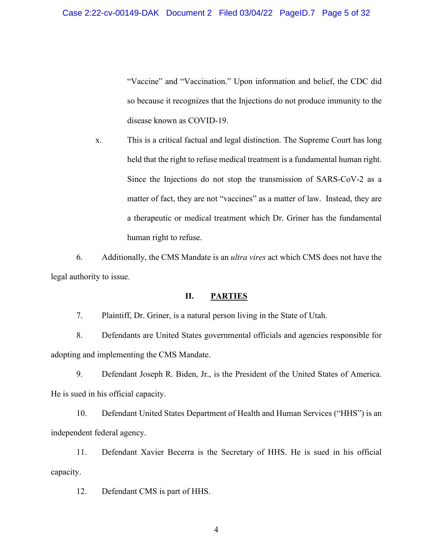"Vaccine" and "Vaccination." Upon information and belief, the CDC did so because it recognizes that the Injections do not produce immunity to the disease known as COVID-19.

x. This is a critical factual and legal distinction. The Supreme Court has long held that the right to refuse medical treatment is a fundamental human right. Since the Injections do not stop the transmission of SARS-CoV-2 as a matter of fact, they are not "vaccines" as a matter of law. Instead, they are a therapeutic or medical treatment which Dr. Griner has the fundamental human right to refuse.

6. Additionally, the CMS Mandate is an *ultra vires* act which CMS does not have the legal authority to issue.

# **II. PARTIES**

7. Plaintiff, Dr. Griner, is a natural person living in the State of Utah.

8. Defendants are United States governmental officials and agencies responsible for adopting and implementing the CMS Mandate.

9. Defendant Joseph R. Biden, Jr., is the President of the United States of America. He is sued in his official capacity.

10. Defendant United States Department of Health and Human Services ("HHS") is an independent federal agency.

11. Defendant Xavier Becerra is the Secretary of HHS. He is sued in his official capacity.

12. Defendant CMS is part of HHS.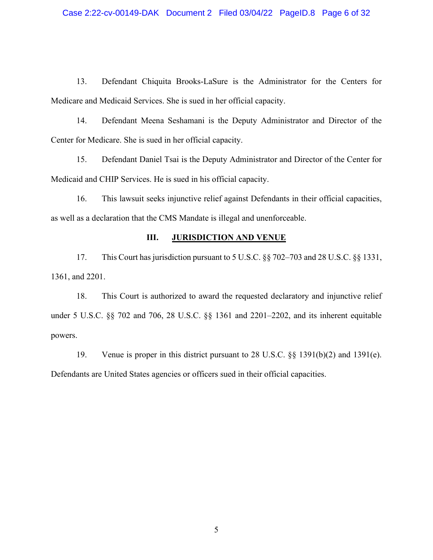13. Defendant Chiquita Brooks-LaSure is the Administrator for the Centers for Medicare and Medicaid Services. She is sued in her official capacity.

14. Defendant Meena Seshamani is the Deputy Administrator and Director of the Center for Medicare. She is sued in her official capacity.

15. Defendant Daniel Tsai is the Deputy Administrator and Director of the Center for Medicaid and CHIP Services. He is sued in his official capacity.

16. This lawsuit seeks injunctive relief against Defendants in their official capacities, as well as a declaration that the CMS Mandate is illegal and unenforceable.

# **III. JURISDICTION AND VENUE**

17. This Court has jurisdiction pursuant to 5 U.S.C. §§ 702–703 and 28 U.S.C. §§ 1331, 1361, and 2201.

18. This Court is authorized to award the requested declaratory and injunctive relief under 5 U.S.C. §§ 702 and 706, 28 U.S.C. §§ 1361 and 2201–2202, and its inherent equitable powers.

19. Venue is proper in this district pursuant to 28 U.S.C. §§ 1391(b)(2) and 1391(e). Defendants are United States agencies or officers sued in their official capacities.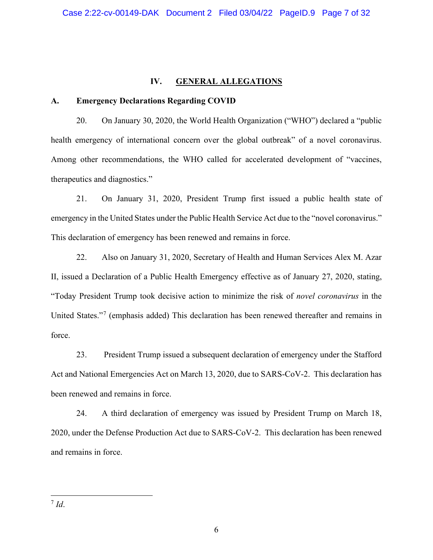# **IV. GENERAL ALLEGATIONS**

## **A. Emergency Declarations Regarding COVID**

20. On January 30, 2020, the World Health Organization ("WHO") declared a "public health emergency of international concern over the global outbreak" of a novel coronavirus. Among other recommendations, the WHO called for accelerated development of "vaccines, therapeutics and diagnostics."

21. On January 31, 2020, President Trump first issued a public health state of emergency in the United States under the Public Health Service Act due to the "novel coronavirus." This declaration of emergency has been renewed and remains in force.

22. Also on January 31, 2020, Secretary of Health and Human Services Alex M. Azar II, issued a Declaration of a Public Health Emergency effective as of January 27, 2020, stating, "Today President Trump took decisive action to minimize the risk of *novel coronavirus* in the United States."[7](#page-6-0) (emphasis added) This declaration has been renewed thereafter and remains in force.

23. President Trump issued a subsequent declaration of emergency under the Stafford Act and National Emergencies Act on March 13, 2020, due to SARS-CoV-2. This declaration has been renewed and remains in force.

24. A third declaration of emergency was issued by President Trump on March 18, 2020, under the Defense Production Act due to SARS-CoV-2. This declaration has been renewed and remains in force.

<span id="page-6-0"></span><sup>7</sup> *Id*.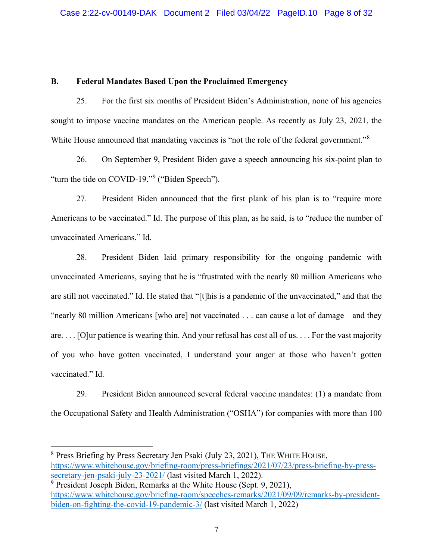# **B. Federal Mandates Based Upon the Proclaimed Emergency**

25. For the first six months of President Biden's Administration, none of his agencies sought to impose vaccine mandates on the American people. As recently as July 23, 2021, the White House announced that mandating vaccines is "not the role of the federal government."<sup>[8](#page-7-0)</sup>

26. On September 9, President Biden gave a speech announcing his six-point plan to "turn the tide on COVID-19."[9](#page-7-1) ("Biden Speech").

27. President Biden announced that the first plank of his plan is to "require more Americans to be vaccinated." Id. The purpose of this plan, as he said, is to "reduce the number of unvaccinated Americans." Id.

28. President Biden laid primary responsibility for the ongoing pandemic with unvaccinated Americans, saying that he is "frustrated with the nearly 80 million Americans who are still not vaccinated." Id. He stated that "[t]his is a pandemic of the unvaccinated," and that the "nearly 80 million Americans [who are] not vaccinated . . . can cause a lot of damage—and they are. . . . [O]ur patience is wearing thin. And your refusal has cost all of us. . . . For the vast majority of you who have gotten vaccinated, I understand your anger at those who haven't gotten vaccinated." Id.

29. President Biden announced several federal vaccine mandates: (1) a mandate from the Occupational Safety and Health Administration ("OSHA") for companies with more than 100

<span id="page-7-0"></span><sup>8</sup> Press Briefing by Press Secretary Jen Psaki (July 23, 2021), THE WHITE HOUSE, [https://www.whitehouse.gov/briefing-room/press-briefings/2021/07/23/press-briefing-by-press](https://www.whitehouse.gov/briefing-room/press-briefings/2021/07/23/press-briefing-by-press-secretary-jen-psaki-july-23-2021/)[secretary-jen-psaki-july-23-2021/](https://www.whitehouse.gov/briefing-room/press-briefings/2021/07/23/press-briefing-by-press-secretary-jen-psaki-july-23-2021/) (last visited March 1, 2022).

<span id="page-7-1"></span> $9$  President Joseph Biden, Remarks at the White House (Sept. 9, 2021), [https://www.whitehouse.gov/briefing-room/speeches-remarks/2021/09/09/remarks-by-president](https://www.whitehouse.gov/briefing-room/speeches-remarks/2021/09/09/remarks-by-president-biden-on-fighting-the-covid-19-pandemic-3/)[biden-on-fighting-the-covid-19-pandemic-3/](https://www.whitehouse.gov/briefing-room/speeches-remarks/2021/09/09/remarks-by-president-biden-on-fighting-the-covid-19-pandemic-3/) (last visited March 1, 2022)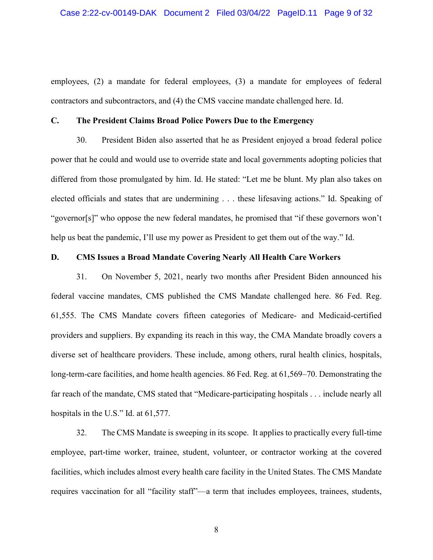employees, (2) a mandate for federal employees, (3) a mandate for employees of federal contractors and subcontractors, and (4) the CMS vaccine mandate challenged here. Id.

#### **C. The President Claims Broad Police Powers Due to the Emergency**

30. President Biden also asserted that he as President enjoyed a broad federal police power that he could and would use to override state and local governments adopting policies that differed from those promulgated by him. Id. He stated: "Let me be blunt. My plan also takes on elected officials and states that are undermining . . . these lifesaving actions." Id. Speaking of "governor[s]" who oppose the new federal mandates, he promised that "if these governors won't help us beat the pandemic, I'll use my power as President to get them out of the way." Id.

## **D. CMS Issues a Broad Mandate Covering Nearly All Health Care Workers**

31. On November 5, 2021, nearly two months after President Biden announced his federal vaccine mandates, CMS published the CMS Mandate challenged here. 86 Fed. Reg. 61,555. The CMS Mandate covers fifteen categories of Medicare- and Medicaid-certified providers and suppliers. By expanding its reach in this way, the CMA Mandate broadly covers a diverse set of healthcare providers. These include, among others, rural health clinics, hospitals, long-term-care facilities, and home health agencies. 86 Fed. Reg. at 61,569–70. Demonstrating the far reach of the mandate, CMS stated that "Medicare-participating hospitals . . . include nearly all hospitals in the U.S." Id. at 61,577.

32. The CMS Mandate is sweeping in its scope. It applies to practically every full-time employee, part-time worker, trainee, student, volunteer, or contractor working at the covered facilities, which includes almost every health care facility in the United States. The CMS Mandate requires vaccination for all "facility staff"—a term that includes employees, trainees, students,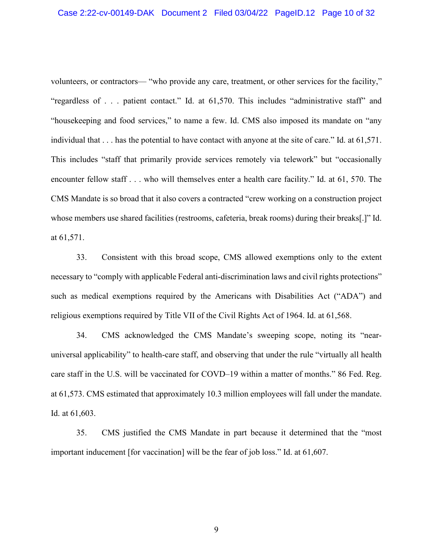volunteers, or contractors— "who provide any care, treatment, or other services for the facility," "regardless of . . . patient contact." Id. at 61,570. This includes "administrative staff" and "housekeeping and food services," to name a few. Id. CMS also imposed its mandate on "any individual that . . . has the potential to have contact with anyone at the site of care." Id. at 61,571. This includes "staff that primarily provide services remotely via telework" but "occasionally encounter fellow staff . . . who will themselves enter a health care facility." Id. at 61, 570. The CMS Mandate is so broad that it also covers a contracted "crew working on a construction project whose members use shared facilities (restrooms, cafeteria, break rooms) during their breaks[.]" Id. at 61,571.

33. Consistent with this broad scope, CMS allowed exemptions only to the extent necessary to "comply with applicable Federal anti-discrimination laws and civil rights protections" such as medical exemptions required by the Americans with Disabilities Act ("ADA") and religious exemptions required by Title VII of the Civil Rights Act of 1964. Id. at 61,568.

34. CMS acknowledged the CMS Mandate's sweeping scope, noting its "nearuniversal applicability" to health-care staff, and observing that under the rule "virtually all health care staff in the U.S. will be vaccinated for COVD–19 within a matter of months." 86 Fed. Reg. at 61,573. CMS estimated that approximately 10.3 million employees will fall under the mandate. Id. at 61,603.

35. CMS justified the CMS Mandate in part because it determined that the "most important inducement [for vaccination] will be the fear of job loss." Id. at 61,607.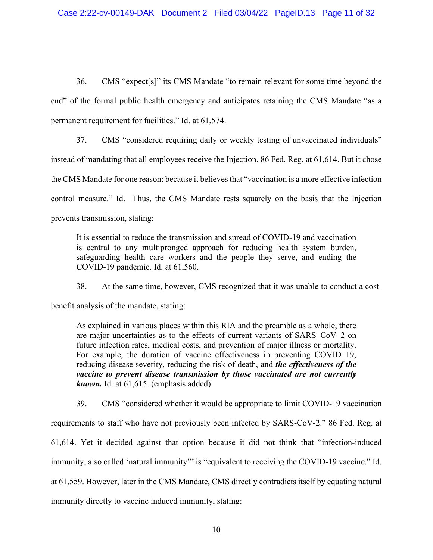36. CMS "expect[s]" its CMS Mandate "to remain relevant for some time beyond the end" of the formal public health emergency and anticipates retaining the CMS Mandate "as a permanent requirement for facilities." Id. at 61,574.

37. CMS "considered requiring daily or weekly testing of unvaccinated individuals" instead of mandating that all employees receive the Injection. 86 Fed. Reg. at 61,614. But it chose the CMS Mandate for one reason: because it believes that "vaccination is a more effective infection control measure." Id. Thus, the CMS Mandate rests squarely on the basis that the Injection prevents transmission, stating:

It is essential to reduce the transmission and spread of COVID-19 and vaccination is central to any multipronged approach for reducing health system burden, safeguarding health care workers and the people they serve, and ending the COVID-19 pandemic. Id. at 61,560.

38. At the same time, however, CMS recognized that it was unable to conduct a cost-

benefit analysis of the mandate, stating:

As explained in various places within this RIA and the preamble as a whole, there are major uncertainties as to the effects of current variants of SARS–CoV–2 on future infection rates, medical costs, and prevention of major illness or mortality. For example, the duration of vaccine effectiveness in preventing COVID–19, reducing disease severity, reducing the risk of death, and *the effectiveness of the vaccine to prevent disease transmission by those vaccinated are not currently known.* Id. at 61,615. (emphasis added)

39. CMS "considered whether it would be appropriate to limit COVID-19 vaccination requirements to staff who have not previously been infected by SARS-CoV-2." 86 Fed. Reg. at 61,614. Yet it decided against that option because it did not think that "infection-induced immunity, also called 'natural immunity'" is "equivalent to receiving the COVID-19 vaccine." Id. at 61,559. However, later in the CMS Mandate, CMS directly contradicts itself by equating natural immunity directly to vaccine induced immunity, stating: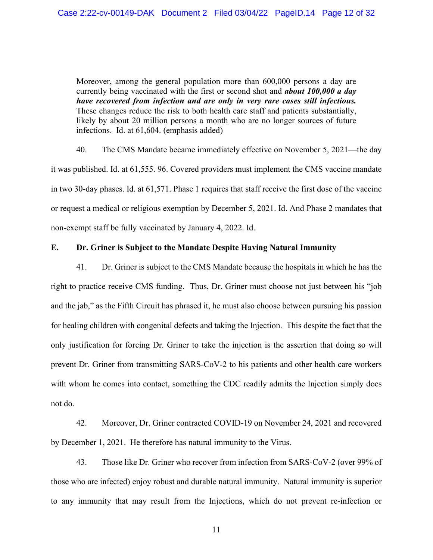Moreover, among the general population more than 600,000 persons a day are currently being vaccinated with the first or second shot and *about 100,000 a day have recovered from infection and are only in very rare cases still infectious.* These changes reduce the risk to both health care staff and patients substantially, likely by about 20 million persons a month who are no longer sources of future infections. Id. at 61,604. (emphasis added)

40. The CMS Mandate became immediately effective on November 5, 2021—the day it was published. Id. at 61,555. 96. Covered providers must implement the CMS vaccine mandate in two 30-day phases. Id. at 61,571. Phase 1 requires that staff receive the first dose of the vaccine or request a medical or religious exemption by December 5, 2021. Id. And Phase 2 mandates that non-exempt staff be fully vaccinated by January 4, 2022. Id.

### **E. Dr. Griner is Subject to the Mandate Despite Having Natural Immunity**

41. Dr. Griner is subject to the CMS Mandate because the hospitals in which he has the right to practice receive CMS funding. Thus, Dr. Griner must choose not just between his "job and the jab," as the Fifth Circuit has phrased it, he must also choose between pursuing his passion for healing children with congenital defects and taking the Injection. This despite the fact that the only justification for forcing Dr. Griner to take the injection is the assertion that doing so will prevent Dr. Griner from transmitting SARS-CoV-2 to his patients and other health care workers with whom he comes into contact, something the CDC readily admits the Injection simply does not do.

42. Moreover, Dr. Griner contracted COVID-19 on November 24, 2021 and recovered by December 1, 2021. He therefore has natural immunity to the Virus.

43. Those like Dr. Griner who recover from infection from SARS-CoV-2 (over 99% of those who are infected) enjoy robust and durable natural immunity. Natural immunity is superior to any immunity that may result from the Injections, which do not prevent re-infection or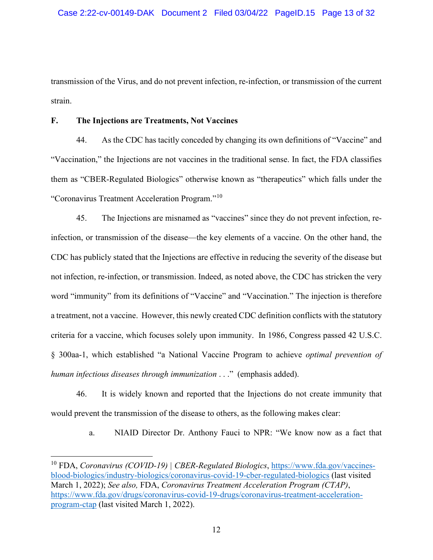transmission of the Virus, and do not prevent infection, re-infection, or transmission of the current strain.

### **F. The Injections are Treatments, Not Vaccines**

44. As the CDC has tacitly conceded by changing its own definitions of "Vaccine" and "Vaccination," the Injections are not vaccines in the traditional sense. In fact, the FDA classifies them as "CBER-Regulated Biologics" otherwise known as "therapeutics" which falls under the "Coronavirus Treatment Acceleration Program."[10](#page-12-0)

45. The Injections are misnamed as "vaccines" since they do not prevent infection, reinfection, or transmission of the disease—the key elements of a vaccine. On the other hand, the CDC has publicly stated that the Injections are effective in reducing the severity of the disease but not infection, re-infection, or transmission. Indeed, as noted above, the CDC has stricken the very word "immunity" from its definitions of "Vaccine" and "Vaccination." The injection is therefore a treatment, not a vaccine. However, this newly created CDC definition conflicts with the statutory criteria for a vaccine, which focuses solely upon immunity. In 1986, Congress passed 42 U.S.C. § 300aa-1, which established "a National Vaccine Program to achieve *optimal prevention of human infectious diseases through immunization* . . ." (emphasis added).

46. It is widely known and reported that the Injections do not create immunity that would prevent the transmission of the disease to others, as the following makes clear:

a. NIAID Director Dr. Anthony Fauci to NPR: "We know now as a fact that

<span id="page-12-0"></span><sup>10</sup> FDA, *Coronavirus (COVID-19) | CBER-Regulated Biologics*, [https://www.fda.gov/vaccines](https://www.fda.gov/vaccines-blood-biologics/industry-biologics/coronavirus-covid-19-cber-regulated-biologics)[blood-biologics/industry-biologics/coronavirus-covid-19-cber-regulated-biologics](https://www.fda.gov/vaccines-blood-biologics/industry-biologics/coronavirus-covid-19-cber-regulated-biologics) (last visited March 1, 2022); *See also,* FDA, *Coronavirus Treatment Acceleration Program (CTAP)*, [https://www.fda.gov/drugs/coronavirus-covid-19-drugs/coronavirus-treatment-acceleration](https://www.fda.gov/drugs/coronavirus-covid-19-drugs/coronavirus-treatment-acceleration-program-ctap)[program-ctap](https://www.fda.gov/drugs/coronavirus-covid-19-drugs/coronavirus-treatment-acceleration-program-ctap) (last visited March 1, 2022).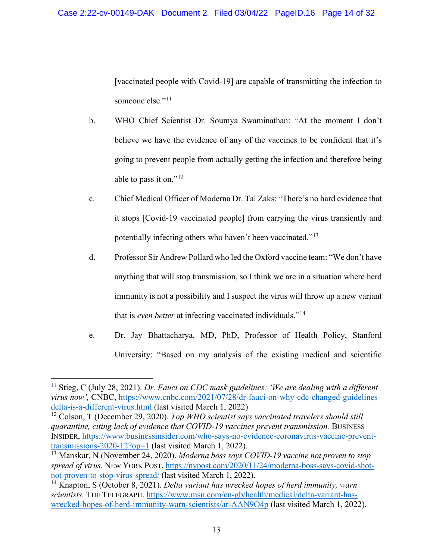[vaccinated people with Covid-19] are capable of transmitting the infection to someone else."<sup>[11](#page-13-0)</sup>

- b. WHO Chief Scientist Dr. Soumya Swaminathan: "At the moment I don't believe we have the evidence of any of the vaccines to be confident that it's going to prevent people from actually getting the infection and therefore being able to pass it on."<sup>[12](#page-13-1)</sup>
- c. Chief Medical Officer of Moderna Dr. Tal Zaks: "There's no hard evidence that it stops [Covid-19 vaccinated people] from carrying the virus transiently and potentially infecting others who haven't been vaccinated."[13](#page-13-2)
- d. Professor Sir Andrew Pollard who led the Oxford vaccine team: "We don't have anything that will stop transmission, so I think we are in a situation where herd immunity is not a possibility and I suspect the virus will throw up a new variant that is *even better* at infecting vaccinated individuals."[14](#page-13-3)
- e. Dr. Jay Bhattacharya, MD, PhD, Professor of Health Policy, Stanford University: "Based on my analysis of the existing medical and scientific

<span id="page-13-0"></span><sup>&</sup>lt;sup>11</sup> Stieg, C (July 28, 2021). *Dr. Fauci on CDC mask guidelines: 'We are dealing with a different virus now'*, CNBC, [https://www.cnbc.com/2021/07/28/dr-fauci-on-why-cdc-changed-guidelines](https://www.cnbc.com/2021/07/28/dr-fauci-on-why-cdc-changed-guidelines-delta-is-a-different-virus.html)[delta-is-a-different-virus.html](https://www.cnbc.com/2021/07/28/dr-fauci-on-why-cdc-changed-guidelines-delta-is-a-different-virus.html) (last visited March 1, 2022)

<span id="page-13-1"></span><sup>12</sup> Colson, T (December 29, 2020). *Top WHO scientist says vaccinated travelers should still quarantine, citing lack of evidence that COVID-19 vaccines prevent transmission.* BUSINESS INSIDER, [https://www.businessinsider.com/who-says-no-evidence-coronavirus-vaccine-prevent](https://www.businessinsider.com/who-says-no-evidence-coronavirus-vaccine-prevent-transmissions-2020-12?op=1)[transmissions-2020-12?op=1](https://www.businessinsider.com/who-says-no-evidence-coronavirus-vaccine-prevent-transmissions-2020-12?op=1) (last visited March 1, 2022).

<span id="page-13-2"></span><sup>13</sup> Manskar, N (November 24, 2020). *Moderna boss says COVID-19 vaccine not proven to stop spread of virus.* NEW YORK POST, [https://nypost.com/2020/11/24/moderna-boss-says-covid-shot](https://nypost.com/2020/11/24/moderna-boss-says-covid-shot-not-proven-to-stop-virus-spread/)[not-proven-to-stop-virus-spread/](https://nypost.com/2020/11/24/moderna-boss-says-covid-shot-not-proven-to-stop-virus-spread/) (last visited March 1, 2022).

<span id="page-13-3"></span><sup>14</sup> Knapton, S (October 8, 2021). *Delta variant has wrecked hopes of herd immunity, warn scientists.* THE TELEGRAPH. [https://www.msn.com/en-gb/health/medical/delta-variant-has](https://www.msn.com/en-gb/health/medical/delta-variant-has-wrecked-hopes-of-herd-immunity-warn-scientists/ar-AAN9O4p)[wrecked-hopes-of-herd-immunity-warn-scientists/ar-AAN9O4p](https://www.msn.com/en-gb/health/medical/delta-variant-has-wrecked-hopes-of-herd-immunity-warn-scientists/ar-AAN9O4p) (last visited March 1, 2022).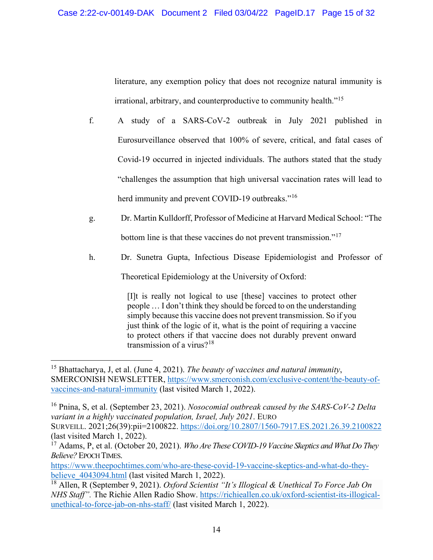literature, any exemption policy that does not recognize natural immunity is irrational, arbitrary, and counterproductive to community health."<sup>[15](#page-14-0)</sup>

f. A study of a SARS-CoV-2 outbreak in July 2021 published in Eurosurveillance observed that 100% of severe, critical, and fatal cases of Covid-19 occurred in injected individuals. The authors stated that the study "challenges the assumption that high universal vaccination rates will lead to herd immunity and prevent COVID-19 outbreaks."<sup>[16](#page-14-1)</sup>

- g. Dr. Martin Kulldorff, Professor of Medicine at Harvard Medical School: "The bottom line is that these vaccines do not prevent transmission."<sup>17</sup>
- h. Dr. Sunetra Gupta, Infectious Disease Epidemiologist and Professor of Theoretical Epidemiology at the University of Oxford:

[I]t is really not logical to use [these] vaccines to protect other people … I don't think they should be forced to on the understanding simply because this vaccine does not prevent transmission. So if you just think of the logic of it, what is the point of requiring a vaccine to protect others if that vaccine does not durably prevent onward transmission of a virus?[18](#page-14-3)

[https://www.theepochtimes.com/who-are-these-covid-19-vaccine-skeptics-and-what-do-they](https://www.theepochtimes.com/who-are-these-covid-19-vaccine-skeptics-and-what-do-they-believe_4043094.html)believe 4043094.html (last visited March 1, 2022).

<span id="page-14-0"></span><sup>15</sup> Bhattacharya, J, et al. (June 4, 2021). *The beauty of vaccines and natural immunity*, SMERCONISH NEWSLETTER, [https://www.smerconish.com/exclusive-content/the-beauty-of](https://www.smerconish.com/exclusive-content/the-beauty-of-vaccines-and-natural-immunity)[vaccines-and-natural-immunity](https://www.smerconish.com/exclusive-content/the-beauty-of-vaccines-and-natural-immunity) (last visited March 1, 2022).

<span id="page-14-1"></span><sup>16</sup> Pnina, S, et al. (September 23, 2021). *Nosocomial outbreak caused by the SARS-CoV-2 Delta variant in a highly vaccinated population, Israel, July 2021*. EURO

SURVEILL. 2021;26(39):pii=2100822. <https://doi.org/10.2807/1560-7917.ES.2021.26.39.2100822> (last visited March 1, 2022).

<span id="page-14-2"></span><sup>17</sup> Adams, P, et al. (October 20, 2021). *Who Are TheseCOVID-19 Vaccine Skeptics and What Do They Believe?*EPOCHTIMES.

<span id="page-14-3"></span><sup>18</sup> Allen, R (September 9, 2021). *Oxford Scientist "It's Illogical & Unethical To Force Jab On NHS Staff".* The Richie Allen Radio Show. [https://richieallen.co.uk/oxford-scientist-its-illogical](https://richieallen.co.uk/oxford-scientist-its-illogical-unethical-to-force-jab-on-nhs-staff/)[unethical-to-force-jab-on-nhs-staff/](https://richieallen.co.uk/oxford-scientist-its-illogical-unethical-to-force-jab-on-nhs-staff/) (last visited March 1, 2022).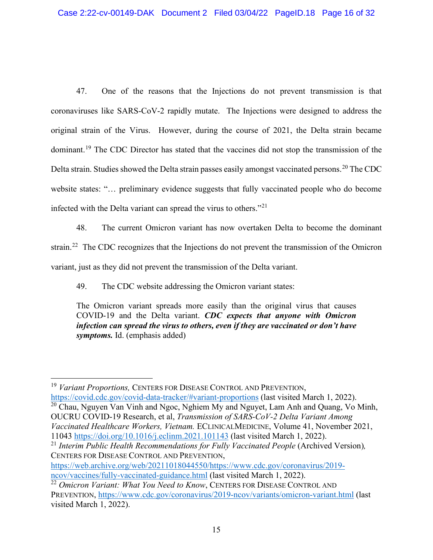47. One of the reasons that the Injections do not prevent transmission is that coronaviruses like SARS-CoV-2 rapidly mutate. The Injections were designed to address the original strain of the Virus. However, during the course of 2021, the Delta strain became dominant.<sup>[19](#page-15-0)</sup> The CDC Director has stated that the vaccines did not stop the transmission of the Delta strain. Studies showed the Delta strain passes easily amongst vaccinated persons.<sup>[20](#page-15-1)</sup> The CDC website states: "… preliminary evidence suggests that fully vaccinated people who do become infected with the Delta variant can spread the virus to others."[21](#page-15-2)

48. The current Omicron variant has now overtaken Delta to become the dominant strain.<sup>[22](#page-15-3)</sup> The CDC recognizes that the Injections do not prevent the transmission of the Omicron variant, just as they did not prevent the transmission of the Delta variant.

49. The CDC website addressing the Omicron variant states:

The Omicron variant spreads more easily than the original virus that causes COVID-19 and the Delta variant. *CDC expects that anyone with Omicron infection can spread the virus to others, even if they are vaccinated or don't have symptoms.* Id. (emphasis added)

<span id="page-15-0"></span><sup>19</sup> *Variant Proportions,* CENTERS FOR DISEASE CONTROL AND PREVENTION, <https://covid.cdc.gov/covid-data-tracker/#variant-proportions> (last visited March 1, 2022). <sup>20</sup> Chau, Nguyen Van Vinh and Ngoc, Nghiem My and Nguyet, Lam Anh and Quang, Vo Minh, OUCRU COVID-19 Research, et al, *Transmission of SARS-CoV-2 Delta Variant Among* 

<span id="page-15-1"></span>*Vaccinated Healthcare Workers, Vietnam.* ECLINICALMEDICINE, Volume 41, November 2021, 11043<https://doi.org/10.1016/j.eclinm.2021.101143> (last visited March 1, 2022).

<span id="page-15-2"></span><sup>&</sup>lt;sup>21</sup> *Interim Public Health Recommendations for Fully Vaccinated People* (Archived Version), CENTERS FOR DISEASE CONTROL AND PREVENTION,

[https://web.archive.org/web/20211018044550/https://www.cdc.gov/coronavirus/2019](https://web.archive.org/web/20211018044550/https:/www.cdc.gov/coronavirus/2019-ncov/vaccines/fully-vaccinated-guidance.html) [ncov/vaccines/fully-vaccinated-guidance.html](https://web.archive.org/web/20211018044550/https:/www.cdc.gov/coronavirus/2019-ncov/vaccines/fully-vaccinated-guidance.html) (last visited March 1, 2022).

<span id="page-15-3"></span><sup>22</sup> *Omicron Variant: What You Need to Know*, CENTERS FOR DISEASE CONTROL AND PREVENTION,<https://www.cdc.gov/coronavirus/2019-ncov/variants/omicron-variant.html> (last visited March 1, 2022).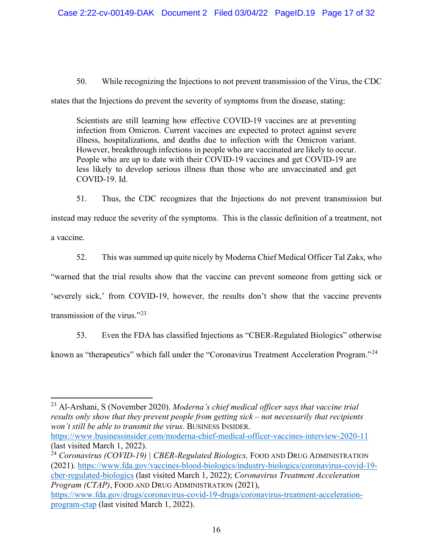50. While recognizing the Injections to not prevent transmission of the Virus, the CDC

states that the Injections do prevent the severity of symptoms from the disease, stating:

Scientists are still learning how effective COVID-19 vaccines are at preventing infection from Omicron. Current vaccines are expected to protect against severe illness, hospitalizations, and deaths due to infection with the Omicron variant. However, breakthrough infections in people who are vaccinated are likely to occur. People who are up to date with their COVID-19 vaccines and get COVID-19 are less likely to develop serious illness than those who are unvaccinated and get COVID-19. Id.

51. Thus, the CDC recognizes that the Injections do not prevent transmission but instead may reduce the severity of the symptoms. This is the classic definition of a treatment, not a vaccine.

52. This was summed up quite nicely by Moderna Chief Medical Officer Tal Zaks, who "warned that the trial results show that the vaccine can prevent someone from getting sick or 'severely sick,' from COVID-19, however, the results don't show that the vaccine prevents transmission of the virus." $^{23}$  $^{23}$  $^{23}$ 

53. Even the FDA has classified Injections as "CBER-Regulated Biologics" otherwise

known as "therapeutics" which fall under the "Coronavirus Treatment Acceleration Program."<sup>[24](#page-16-1)</sup>

<span id="page-16-0"></span><sup>23</sup> Al-Arshani, S (November 2020). *Moderna's chief medical officer says that vaccine trial results only show that they prevent people from getting sick – not necessarily that recipients won't still be able to transmit the virus.* BUSINESS INSIDER.

<https://www.businessinsider.com/moderna-chief-medical-officer-vaccines-interview-2020-11> (last visited March 1, 2022).

<span id="page-16-1"></span><sup>&</sup>lt;sup>24</sup> *Coronavirus (COVID-19)* | *CBER-Regulated Biologics*, FOOD AND DRUG ADMINISTRATION (2021). [https://www.fda.gov/vaccines-blood-biologics/industry-biologics/coronavirus-covid-19](https://www.fda.gov/vaccines-blood-biologics/industry-biologics/coronavirus-covid-19-cber-regulated-biologics) [cber-regulated-biologics](https://www.fda.gov/vaccines-blood-biologics/industry-biologics/coronavirus-covid-19-cber-regulated-biologics) (last visited March 1, 2022); *Coronavirus Treatment Acceleration Program (CTAP)*, FOOD AND DRUG ADMINISTRATION (2021),

[https://www.fda.gov/drugs/coronavirus-covid-19-drugs/coronavirus-treatment-acceleration](https://www.fda.gov/drugs/coronavirus-covid-19-drugs/coronavirus-treatment-acceleration-program-ctap)[program-ctap](https://www.fda.gov/drugs/coronavirus-covid-19-drugs/coronavirus-treatment-acceleration-program-ctap) (last visited March 1, 2022).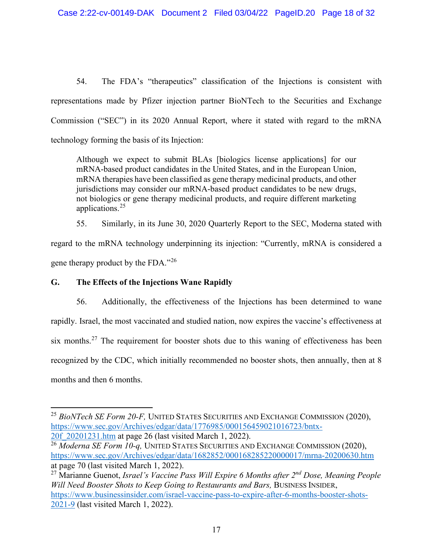54. The FDA's "therapeutics" classification of the Injections is consistent with representations made by Pfizer injection partner BioNTech to the Securities and Exchange Commission ("SEC") in its 2020 Annual Report, where it stated with regard to the mRNA technology forming the basis of its Injection:

Although we expect to submit BLAs [biologics license applications] for our mRNA-based product candidates in the United States, and in the European Union, mRNA therapies have been classified as gene therapy medicinal products, and other jurisdictions may consider our mRNA-based product candidates to be new drugs, not biologics or gene therapy medicinal products, and require different marketing applications.[25](#page-17-0)

55. Similarly, in its June 30, 2020 Quarterly Report to the SEC, Moderna stated with regard to the mRNA technology underpinning its injection: "Currently, mRNA is considered a gene therapy product by the FDA."[26](#page-17-1)

# **G. The Effects of the Injections Wane Rapidly**

56. Additionally, the effectiveness of the Injections has been determined to wane rapidly. Israel, the most vaccinated and studied nation, now expires the vaccine's effectiveness at six months.<sup>[27](#page-17-2)</sup> The requirement for booster shots due to this waning of effectiveness has been recognized by the CDC, which initially recommended no booster shots, then annually, then at 8 months and then 6 months.

<span id="page-17-1"></span><sup>26</sup> *Moderna SE Form 10-q*, UNITED STATES SECURITIES AND EXCHANGE COMMISSION (2020), <https://www.sec.gov/Archives/edgar/data/1682852/000168285220000017/mrna-20200630.htm> at page 70 (last visited March 1, 2022).

<span id="page-17-0"></span><sup>25</sup> *BioNTech SE Form 20-F,* UNITED STATES SECURITIES AND EXCHANGE COMMISSION (2020), [https://www.sec.gov/Archives/edgar/data/1776985/000156459021016723/bntx-](https://www.sec.gov/Archives/edgar/data/1776985/000156459021016723/bntx-20f_20201231.htm)

[<sup>20</sup>f\\_20201231.htm](https://www.sec.gov/Archives/edgar/data/1776985/000156459021016723/bntx-20f_20201231.htm) at page 26 (last visited March 1, 2022).

<span id="page-17-2"></span><sup>27</sup> Marianne Guenot, *Israel's Vaccine Pass Will Expire 6 Months after 2nd Dose, Meaning People Will Need Booster Shots to Keep Going to Restaurants and Bars,* BUSINESS INSIDER, [https://www.businessinsider.com/israel-vaccine-pass-to-expire-after-6-months-booster-shots-](https://www.businessinsider.com/israel-vaccine-pass-to-expire-after-6-months-booster-shots-2021-9)[2021-9](https://www.businessinsider.com/israel-vaccine-pass-to-expire-after-6-months-booster-shots-2021-9) (last visited March 1, 2022).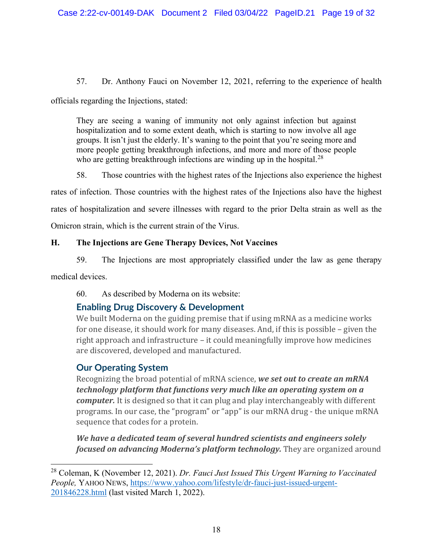57. Dr. Anthony Fauci on November 12, 2021, referring to the experience of health

officials regarding the Injections, stated:

They are seeing a waning of immunity not only against infection but against hospitalization and to some extent death, which is starting to now involve all age groups. It isn't just the elderly. It's waning to the point that you're seeing more and more people getting breakthrough infections, and more and more of those people who are getting breakthrough infections are winding up in the hospital.<sup>[28](#page-18-0)</sup>

58. Those countries with the highest rates of the Injections also experience the highest

rates of infection. Those countries with the highest rates of the Injections also have the highest

rates of hospitalization and severe illnesses with regard to the prior Delta strain as well as the

Omicron strain, which is the current strain of the Virus.

# **H. The Injections are Gene Therapy Devices, Not Vaccines**

59. The Injections are most appropriately classified under the law as gene therapy

medical devices.

60. As described by Moderna on its website:

# **Enabling Drug Discovery & Development**

We built Moderna on the guiding premise that if using mRNA as a medicine works for one disease, it should work for many diseases. And, if this is possible – given the right approach and infrastructure – it could meaningfully improve how medicines are discovered, developed and manufactured.

# **Our Operating System**

Recognizing the broad potential of mRNA science, *we set out to create an mRNA technology platform that functions very much like an operating system on a computer.* It is designed so that it can plug and play interchangeably with different programs. In our case, the "program" or "app" is our mRNA drug - the unique mRNA sequence that codes for a protein.

*We have a dedicated team of several hundred scientists and engineers solely focused on advancing Moderna's platform technology.* They are organized around

<span id="page-18-0"></span><sup>28</sup> Coleman, K (November 12, 2021). *Dr. Fauci Just Issued This Urgent Warning to Vaccinated People,* YAHOO NEWS, [https://www.yahoo.com/lifestyle/dr-fauci-just-issued-urgent-](https://www.yahoo.com/lifestyle/dr-fauci-just-issued-urgent-201846228.html)[201846228.html](https://www.yahoo.com/lifestyle/dr-fauci-just-issued-urgent-201846228.html) (last visited March 1, 2022).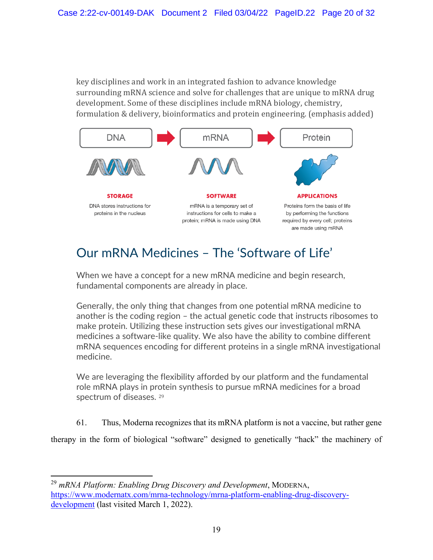key disciplines and work in an integrated fashion to advance knowledge surrounding mRNA science and solve for challenges that are unique to mRNA drug development. Some of these disciplines include mRNA biology, chemistry, formulation & delivery, bioinformatics and protein engineering. (emphasis added)



# Our mRNA Medicines – The 'Software of Life'

When we have a concept for a new mRNA medicine and begin research, fundamental components are already in place.

Generally, the only thing that changes from one potential mRNA medicine to another is the coding region – the actual genetic code that instructs ribosomes to make protein. Utilizing these instruction sets gives our investigational mRNA medicines a software-like quality. We also have the ability to combine different mRNA sequences encoding for different proteins in a single mRNA investigational medicine.

We are leveraging the flexibility afforded by our platform and the fundamental role mRNA plays in protein synthesis to pursue mRNA medicines for a broad spectrum of diseases. <sup>[29](#page-19-0)</sup>

61. Thus, Moderna recognizes that its mRNA platform is not a vaccine, but rather gene

therapy in the form of biological "software" designed to genetically "hack" the machinery of

<span id="page-19-0"></span><sup>29</sup> *mRNA Platform: Enabling Drug Discovery and Development*, MODERNA, [https://www.modernatx.com/mrna-technology/mrna-platform-enabling-drug-discovery](https://www.modernatx.com/mrna-technology/mrna-platform-enabling-drug-discovery-development)[development](https://www.modernatx.com/mrna-technology/mrna-platform-enabling-drug-discovery-development) (last visited March 1, 2022).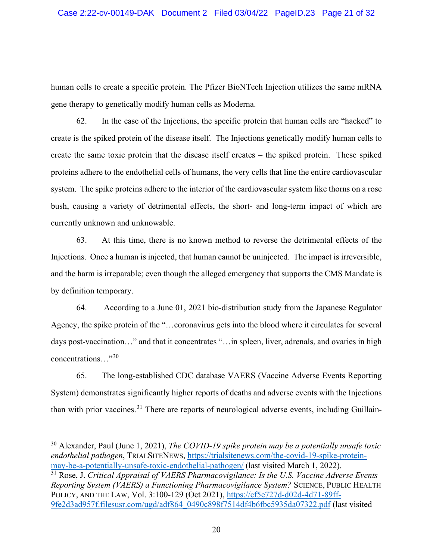human cells to create a specific protein. The Pfizer BioNTech Injection utilizes the same mRNA gene therapy to genetically modify human cells as Moderna.

62. In the case of the Injections, the specific protein that human cells are "hacked" to create is the spiked protein of the disease itself. The Injections genetically modify human cells to create the same toxic protein that the disease itself creates – the spiked protein. These spiked proteins adhere to the endothelial cells of humans, the very cells that line the entire cardiovascular system. The spike proteins adhere to the interior of the cardiovascular system like thorns on a rose bush, causing a variety of detrimental effects, the short- and long-term impact of which are currently unknown and unknowable.

63. At this time, there is no known method to reverse the detrimental effects of the Injections. Once a human is injected, that human cannot be uninjected. The impact is irreversible, and the harm is irreparable; even though the alleged emergency that supports the CMS Mandate is by definition temporary.

64. According to a June 01, 2021 bio-distribution study from the Japanese Regulator Agency, the spike protein of the "…coronavirus gets into the blood where it circulates for several days post-vaccination…" and that it concentrates "…in spleen, liver, adrenals, and ovaries in high concentrations…"[30](#page-20-0)

65. The long-established CDC database VAERS (Vaccine Adverse Events Reporting System) demonstrates significantly higher reports of deaths and adverse events with the Injections than with prior vaccines.<sup>[31](#page-20-1)</sup> There are reports of neurological adverse events, including Guillain-

<span id="page-20-0"></span><sup>30</sup> Alexander, Paul (June 1, 2021), *The COVID-19 spike protein may be a potentially unsafe toxic endothelial pathogen*, TRIALSITENEWS, [https://trialsitenews.com/the-covid-19-spike-protein](https://trialsitenews.com/the-covid-19-spike-protein-may-be-a-potentially-unsafe-toxic-endothelial-pathogen/)[may-be-a-potentially-unsafe-toxic-endothelial-pathogen/](https://trialsitenews.com/the-covid-19-spike-protein-may-be-a-potentially-unsafe-toxic-endothelial-pathogen/) (last visited March 1, 2022).

<span id="page-20-1"></span><sup>31</sup> Rose, J. *Critical Appraisal of VAERS Pharmacovigilance: Is the U.S. Vaccine Adverse Events Reporting System (VAERS) a Functioning Pharmacovigilance System?* SCIENCE, PUBLIC HEALTH POLICY, AND THE LAW, Vol. 3:100-129 (Oct 2021), [https://cf5e727d-d02d-4d71-89ff-](https://cf5e727d-d02d-4d71-89ff-9fe2d3ad957f.filesusr.com/ugd/adf864_0490c898f7514df4b6fbc5935da07322.pdf)[9fe2d3ad957f.filesusr.com/ugd/adf864\\_0490c898f7514df4b6fbc5935da07322.pdf](https://cf5e727d-d02d-4d71-89ff-9fe2d3ad957f.filesusr.com/ugd/adf864_0490c898f7514df4b6fbc5935da07322.pdf) (last visited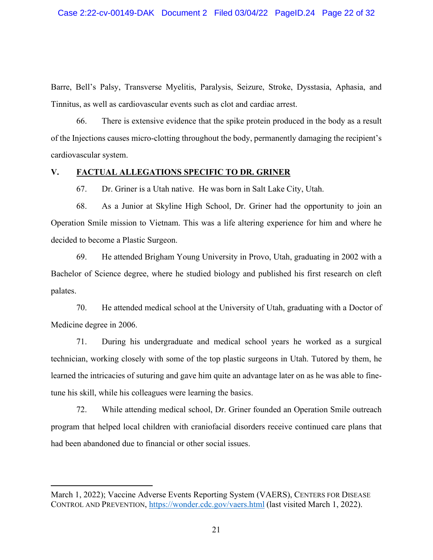Barre, Bell's Palsy, Transverse Myelitis, Paralysis, Seizure, Stroke, Dysstasia, Aphasia, and Tinnitus, as well as cardiovascular events such as clot and cardiac arrest.

66. There is extensive evidence that the spike protein produced in the body as a result of the Injections causes micro-clotting throughout the body, permanently damaging the recipient's cardiovascular system.

### **V. FACTUAL ALLEGATIONS SPECIFIC TO DR. GRINER**

67. Dr. Griner is a Utah native. He was born in Salt Lake City, Utah.

68. As a Junior at Skyline High School, Dr. Griner had the opportunity to join an Operation Smile mission to Vietnam. This was a life altering experience for him and where he decided to become a Plastic Surgeon.

69. He attended Brigham Young University in Provo, Utah, graduating in 2002 with a Bachelor of Science degree, where he studied biology and published his first research on cleft palates.

70. He attended medical school at the University of Utah, graduating with a Doctor of Medicine degree in 2006.

71. During his undergraduate and medical school years he worked as a surgical technician, working closely with some of the top plastic surgeons in Utah. Tutored by them, he learned the intricacies of suturing and gave him quite an advantage later on as he was able to finetune his skill, while his colleagues were learning the basics.

72. While attending medical school, Dr. Griner founded an Operation Smile outreach program that helped local children with craniofacial disorders receive continued care plans that had been abandoned due to financial or other social issues.

March 1, 2022); Vaccine Adverse Events Reporting System (VAERS), CENTERS FOR DISEASE CONTROL AND PREVENTION, <https://wonder.cdc.gov/vaers.html> (last visited March 1, 2022).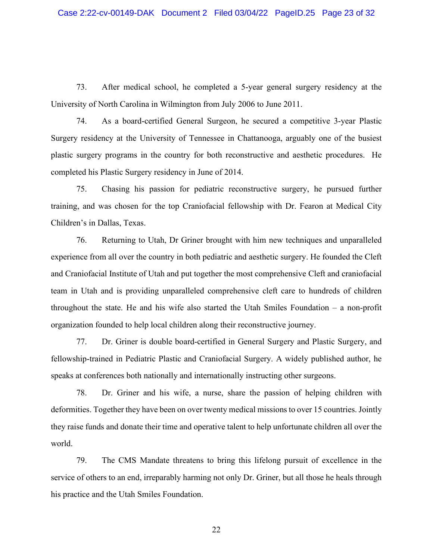73. After medical school, he completed a 5-year general surgery residency at the University of North Carolina in Wilmington from July 2006 to June 2011.

74. As a board-certified General Surgeon, he secured a competitive 3-year Plastic Surgery residency at the University of Tennessee in Chattanooga, arguably one of the busiest plastic surgery programs in the country for both reconstructive and aesthetic procedures. He completed his Plastic Surgery residency in June of 2014.

75. Chasing his passion for pediatric reconstructive surgery, he pursued further training, and was chosen for the top Craniofacial fellowship with Dr. Fearon at Medical City Children's in Dallas, Texas.

76. Returning to Utah, Dr Griner brought with him new techniques and unparalleled experience from all over the country in both pediatric and aesthetic surgery. He founded the Cleft and Craniofacial Institute of Utah and put together the most comprehensive Cleft and craniofacial team in Utah and is providing unparalleled comprehensive cleft care to hundreds of children throughout the state. He and his wife also started the Utah Smiles Foundation – a non-profit organization founded to help local children along their reconstructive journey.

77. Dr. Griner is double board-certified in General Surgery and Plastic Surgery, and fellowship-trained in Pediatric Plastic and Craniofacial Surgery. A widely published author, he speaks at conferences both nationally and internationally instructing other surgeons.

78. Dr. Griner and his wife, a nurse, share the passion of helping children with deformities. Together they have been on over twenty medical missions to over 15 countries. Jointly they raise funds and donate their time and operative talent to help unfortunate children all over the world.

79. The CMS Mandate threatens to bring this lifelong pursuit of excellence in the service of others to an end, irreparably harming not only Dr. Griner, but all those he heals through his practice and the Utah Smiles Foundation.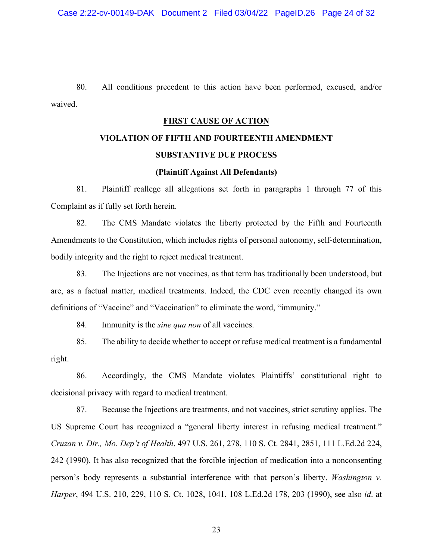80. All conditions precedent to this action have been performed, excused, and/or waived.

### **FIRST CAUSE OF ACTION**

# **VIOLATION OF FIFTH AND FOURTEENTH AMENDMENT SUBSTANTIVE DUE PROCESS**

### **(Plaintiff Against All Defendants)**

81. Plaintiff reallege all allegations set forth in paragraphs 1 through 77 of this Complaint as if fully set forth herein.

82. The CMS Mandate violates the liberty protected by the Fifth and Fourteenth Amendments to the Constitution, which includes rights of personal autonomy, self-determination, bodily integrity and the right to reject medical treatment.

83. The Injections are not vaccines, as that term has traditionally been understood, but are, as a factual matter, medical treatments. Indeed, the CDC even recently changed its own definitions of "Vaccine" and "Vaccination" to eliminate the word, "immunity."

84. Immunity is the *sine qua non* of all vaccines.

85. The ability to decide whether to accept or refuse medical treatment is a fundamental right.

86. Accordingly, the CMS Mandate violates Plaintiffs' constitutional right to decisional privacy with regard to medical treatment.

87. Because the Injections are treatments, and not vaccines, strict scrutiny applies. The US Supreme Court has recognized a "general liberty interest in refusing medical treatment." *Cruzan v. Dir., Mo. Dep't of Health*, 497 U.S. 261, 278, 110 S. Ct. 2841, 2851, 111 L.Ed.2d 224, 242 (1990). It has also recognized that the forcible injection of medication into a nonconsenting person's body represents a substantial interference with that person's liberty. *Washington v. Harper*, 494 U.S. 210, 229, 110 S. Ct. 1028, 1041, 108 L.Ed.2d 178, 203 (1990), see also *id*. at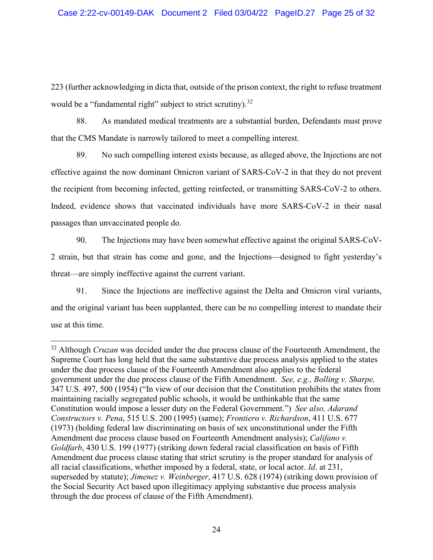223 (further acknowledging in dicta that, outside of the prison context, the right to refuse treatment would be a "fundamental right" subject to strict scrutiny).<sup>[32](#page-24-0)</sup>

88. As mandated medical treatments are a substantial burden, Defendants must prove that the CMS Mandate is narrowly tailored to meet a compelling interest.

89. No such compelling interest exists because, as alleged above, the Injections are not effective against the now dominant Omicron variant of SARS-CoV-2 in that they do not prevent the recipient from becoming infected, getting reinfected, or transmitting SARS-CoV-2 to others. Indeed, evidence shows that vaccinated individuals have more SARS-CoV-2 in their nasal passages than unvaccinated people do.

90. The Injections may have been somewhat effective against the original SARS-CoV-2 strain, but that strain has come and gone, and the Injections—designed to fight yesterday's threat—are simply ineffective against the current variant.

91. Since the Injections are ineffective against the Delta and Omicron viral variants, and the original variant has been supplanted, there can be no compelling interest to mandate their use at this time.

<span id="page-24-0"></span><sup>&</sup>lt;sup>32</sup> Although *Cruzan* was decided under the due process clause of the Fourteenth Amendment, the Supreme Court has long held that the same substantive due process analysis applied to the states under the due process clause of the Fourteenth Amendment also applies to the federal government under the due process clause of the Fifth Amendment. *See, e.g., Bolling v. Sharpe,* 347 U.S. 497, 500 (1954) ("In view of our decision that the Constitution prohibits the states from maintaining racially segregated public schools, it would be unthinkable that the same Constitution would impose a lesser duty on the Federal Government.") *See also, [Adarand](https://advance.lexis.com/shepards/shepardsheadnotes/?pdmfid=1000516&crid=50cb0262-f20a-44a4-8c49-d7e89e193839&pdshepid=urn%3AcontentItem%3A7XW4-F5B1-2NSF-C4SG-00000-00&pdshepcat=citingref&pdshepfiltername=HN6&pdshepfiltervalue=HN6&pdshepfilter=Headnotes&pdshepfieldname=lnhn&ecomp=ss9nk&prid=e6ca842e-a104-4287-8e84-ff7571e987f4) [Constructors](https://advance.lexis.com/shepards/shepardsheadnotes/?pdmfid=1000516&crid=50cb0262-f20a-44a4-8c49-d7e89e193839&pdshepid=urn%3AcontentItem%3A7XW4-F5B1-2NSF-C4SG-00000-00&pdshepcat=citingref&pdshepfiltername=HN6&pdshepfiltervalue=HN6&pdshepfilter=Headnotes&pdshepfieldname=lnhn&ecomp=ss9nk&prid=e6ca842e-a104-4287-8e84-ff7571e987f4) v. Pena*, 515 U.S. 200 (1995) (same); *Frontiero v. Richardson*, 411 U.S. 677 (1973) (holding federal law discriminating on basis of sex unconstitutional under the Fifth Amendment due process clause based on Fourteenth Amendment analysis); *Califano v. Goldfarb*, 430 U.S. 199 (1977) (striking down federal racial classification on basis of Fifth Amendment due process clause stating that strict scrutiny is the proper standard for analysis of all racial classifications, whether imposed by a federal, state, or local actor. *Id*. at 231, superseded by statute); *Jimenez v. Weinberger*, 417 U.S. 628 (1974) (striking down provision of the Social Security Act based upon illegitimacy applying substantive due process analysis through the due process of clause of the Fifth Amendment).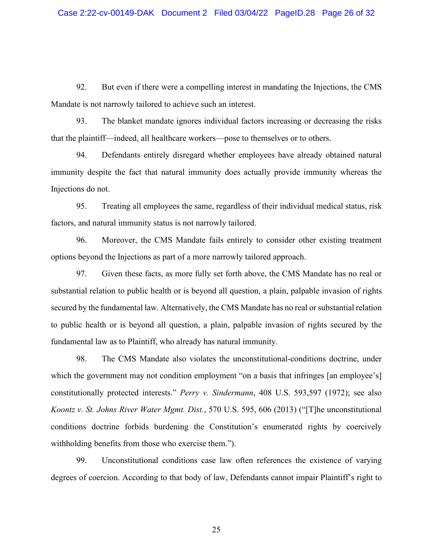92. But even if there were a compelling interest in mandating the Injections, the CMS Mandate is not narrowly tailored to achieve such an interest.

93. The blanket mandate ignores individual factors increasing or decreasing the risks that the plaintiff—indeed, all healthcare workers—pose to themselves or to others.

94. Defendants entirely disregard whether employees have already obtained natural immunity despite the fact that natural immunity does actually provide immunity whereas the Injections do not.

95. Treating all employees the same, regardless of their individual medical status, risk factors, and natural immunity status is not narrowly tailored.

96. Moreover, the CMS Mandate fails entirely to consider other existing treatment options beyond the Injections as part of a more narrowly tailored approach.

97. Given these facts, as more fully set forth above, the CMS Mandate has no real or substantial relation to public health or is beyond all question, a plain, palpable invasion of rights secured by the fundamental law. Alternatively, the CMS Mandate has no real or substantial relation to public health or is beyond all question, a plain, palpable invasion of rights secured by the fundamental law as to Plaintiff, who already has natural immunity.

98. The CMS Mandate also violates the unconstitutional-conditions doctrine, under which the government may not condition employment "on a basis that infringes [an employee's] constitutionally protected interests." *Perry v. Sindermann*, 408 U.S. 593,597 (1972); see also *Koontz v. St. Johns River Water Mgmt. Dist.*, 570 U.S. 595, 606 (2013) ("[T]he unconstitutional conditions doctrine forbids burdening the Constitution's enumerated rights by coercively withholding benefits from those who exercise them.").

99. Unconstitutional conditions case law often references the existence of varying degrees of coercion. According to that body of law, Defendants cannot impair Plaintiff's right to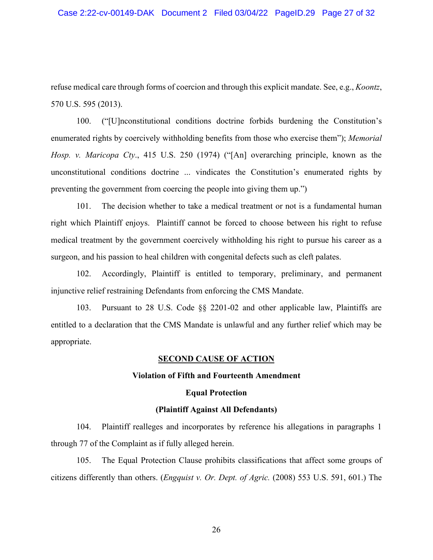refuse medical care through forms of coercion and through this explicit mandate. See, e.g., *Koontz*, 570 U.S. 595 (2013).

100. ("[U]nconstitutional conditions doctrine forbids burdening the Constitution's enumerated rights by coercively withholding benefits from those who exercise them"); *Memorial Hosp. v. Maricopa Cty*., 415 U.S. 250 (1974) ("[An] overarching principle, known as the unconstitutional conditions doctrine ... vindicates the Constitution's enumerated rights by preventing the government from coercing the people into giving them up.")

101. The decision whether to take a medical treatment or not is a fundamental human right which Plaintiff enjoys. Plaintiff cannot be forced to choose between his right to refuse medical treatment by the government coercively withholding his right to pursue his career as a surgeon, and his passion to heal children with congenital defects such as cleft palates.

102. Accordingly, Plaintiff is entitled to temporary, preliminary, and permanent injunctive relief restraining Defendants from enforcing the CMS Mandate.

103. Pursuant to 28 U.S. Code §§ 2201-02 and other applicable law, Plaintiffs are entitled to a declaration that the CMS Mandate is unlawful and any further relief which may be appropriate.

### **SECOND CAUSE OF ACTION**

### **Violation of Fifth and Fourteenth Amendment**

## **Equal Protection**

### **(Plaintiff Against All Defendants)**

104. Plaintiff realleges and incorporates by reference his allegations in paragraphs 1 through 77 of the Complaint as if fully alleged herein.

105. The Equal Protection Clause prohibits classifications that affect some groups of citizens differently than others. (*Engquist v. Or. Dept. of Agric.* (2008) 553 U.S. 591, 601.) The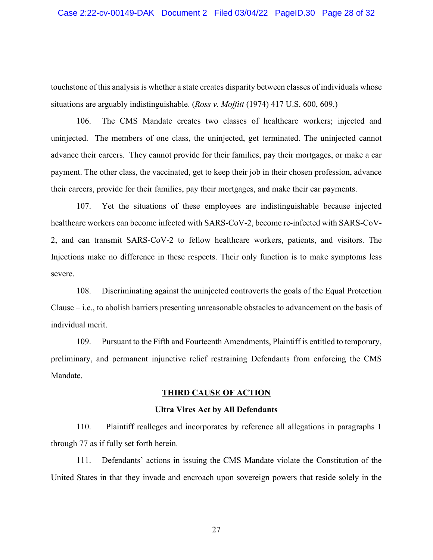touchstone of this analysis is whether a state creates disparity between classes of individuals whose situations are arguably indistinguishable. (*Ross v. Moffitt* (1974) 417 U.S. 600, 609.)

106. The CMS Mandate creates two classes of healthcare workers; injected and uninjected. The members of one class, the uninjected, get terminated. The uninjected cannot advance their careers. They cannot provide for their families, pay their mortgages, or make a car payment. The other class, the vaccinated, get to keep their job in their chosen profession, advance their careers, provide for their families, pay their mortgages, and make their car payments.

107. Yet the situations of these employees are indistinguishable because injected healthcare workers can become infected with SARS-CoV-2, become re-infected with SARS-CoV-2, and can transmit SARS-CoV-2 to fellow healthcare workers, patients, and visitors. The Injections make no difference in these respects. Their only function is to make symptoms less severe.

108. Discriminating against the uninjected controverts the goals of the Equal Protection Clause – i.e., to abolish barriers presenting unreasonable obstacles to advancement on the basis of individual merit.

109. Pursuant to the Fifth and Fourteenth Amendments, Plaintiff is entitled to temporary, preliminary, and permanent injunctive relief restraining Defendants from enforcing the CMS Mandate.

### **THIRD CAUSE OF ACTION**

### **Ultra Vires Act by All Defendants**

110. Plaintiff realleges and incorporates by reference all allegations in paragraphs 1 through 77 as if fully set forth herein.

111. Defendants' actions in issuing the CMS Mandate violate the Constitution of the United States in that they invade and encroach upon sovereign powers that reside solely in the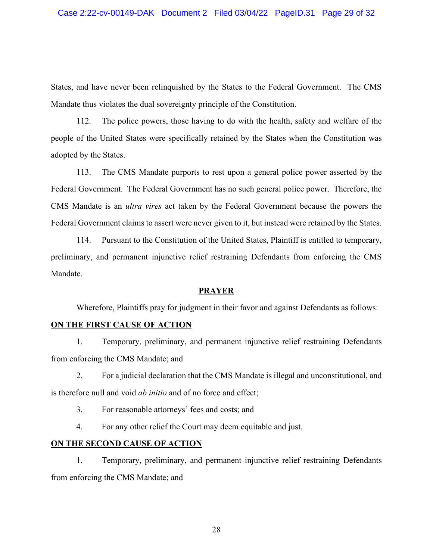States, and have never been relinquished by the States to the Federal Government. The CMS Mandate thus violates the dual sovereignty principle of the Constitution.

112. The police powers, those having to do with the health, safety and welfare of the people of the United States were specifically retained by the States when the Constitution was adopted by the States.

113. The CMS Mandate purports to rest upon a general police power asserted by the Federal Government. The Federal Government has no such general police power. Therefore, the CMS Mandate is an *ultra vires* act taken by the Federal Government because the powers the Federal Government claims to assert were never given to it, but instead were retained by the States.

114. Pursuant to the Constitution of the United States, Plaintiff is entitled to temporary, preliminary, and permanent injunctive relief restraining Defendants from enforcing the CMS Mandate.

### **PRAYER**

Wherefore, Plaintiffs pray for judgment in their favor and against Defendants as follows:

### **ON THE FIRST CAUSE OF ACTION**

1. Temporary, preliminary, and permanent injunctive relief restraining Defendants from enforcing the CMS Mandate; and

2. For a judicial declaration that the CMS Mandate is illegal and unconstitutional, and is therefore null and void *ab initio* and of no force and effect;

3. For reasonable attorneys' fees and costs; and

4. For any other relief the Court may deem equitable and just.

### **ON THE SECOND CAUSE OF ACTION**

1. Temporary, preliminary, and permanent injunctive relief restraining Defendants from enforcing the CMS Mandate; and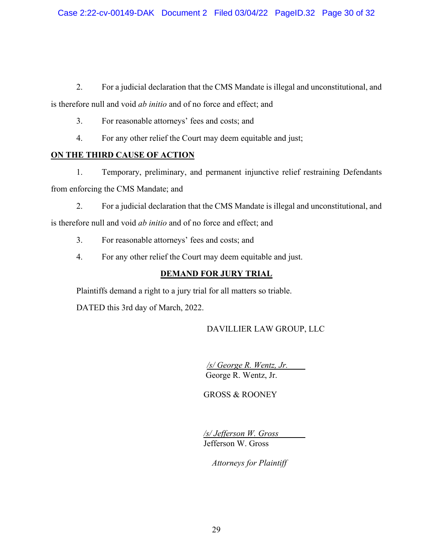2. For a judicial declaration that the CMS Mandate is illegal and unconstitutional, and

is therefore null and void *ab initio* and of no force and effect; and

3. For reasonable attorneys' fees and costs; and

4. For any other relief the Court may deem equitable and just;

# **ON THE THIRD CAUSE OF ACTION**

1. Temporary, preliminary, and permanent injunctive relief restraining Defendants from enforcing the CMS Mandate; and

2. For a judicial declaration that the CMS Mandate is illegal and unconstitutional, and

is therefore null and void *ab initio* and of no force and effect; and

- 3. For reasonable attorneys' fees and costs; and
- 4. For any other relief the Court may deem equitable and just.

# **DEMAND FOR JURY TRIAL**

Plaintiffs demand a right to a jury trial for all matters so triable.

DATED this 3rd day of March, 2022.

DAVILLIER LAW GROUP, LLC

*/s/ George R. Wentz, Jr.* George R. Wentz, Jr.

GROSS & ROONEY

*/s/ Jefferson W. Gross* Jefferson W. Gross

*Attorneys for Plaintiff*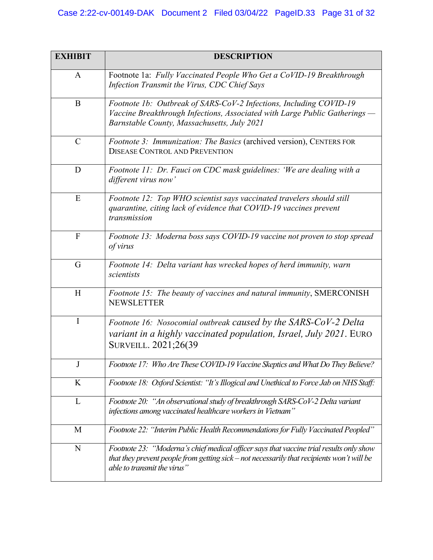| <b>EXHIBIT</b> | <b>DESCRIPTION</b>                                                                                                                                                                                                   |
|----------------|----------------------------------------------------------------------------------------------------------------------------------------------------------------------------------------------------------------------|
| A              | Footnote 1a: Fully Vaccinated People Who Get a CoVID-19 Breakthrough<br>Infection Transmit the Virus, CDC Chief Says                                                                                                 |
| $\bf{B}$       | Footnote 1b: Outbreak of SARS-CoV-2 Infections, Including COVID-19<br>Vaccine Breakthrough Infections, Associated with Large Public Gatherings -<br>Barnstable County, Massachusetts, July 2021                      |
| $\mathcal{C}$  | Footnote 3: Immunization: The Basics (archived version), CENTERS FOR<br><b>DISEASE CONTROL AND PREVENTION</b>                                                                                                        |
| D              | Footnote 11: Dr. Fauci on CDC mask guidelines: 'We are dealing with a<br>different virus now'                                                                                                                        |
| E              | Footnote 12: Top WHO scientist says vaccinated travelers should still<br>quarantine, citing lack of evidence that COVID-19 vaccines prevent<br>transmission                                                          |
| ${\bf F}$      | Footnote 13: Moderna boss says COVID-19 vaccine not proven to stop spread<br>of virus                                                                                                                                |
| G              | Footnote 14: Delta variant has wrecked hopes of herd immunity, warn<br>scientists                                                                                                                                    |
| H              | Footnote 15: The beauty of vaccines and natural immunity, SMERCONISH<br><b>NEWSLETTER</b>                                                                                                                            |
| I              | Footnote 16: Nosocomial outbreak caused by the SARS-CoV-2 Delta<br>variant in a highly vaccinated population, Israel, July 2021. EURO<br><b>SURVEILL. 2021;26(39)</b>                                                |
|                | Footnote 17: Who Are These COVID-19 Vaccine Skeptics and What Do They Believe?                                                                                                                                       |
| K              | Footnote 18: Oxford Scientist: "It's Illogical and Unethical to Force Jab on NHS Staff:                                                                                                                              |
| L              | Footnote 20: "An observational study of breakthrough SARS-CoV-2 Delta variant<br>infections among vaccinated healthcare workers in Vietnam"                                                                          |
| M              | Footnote 22: "Interim Public Health Recommendations for Fully Vaccinated Peopled"                                                                                                                                    |
| N              | Footnote 23: "Moderna's chief medical officer says that vaccine trial results only show<br>that they prevent people from getting sick - not necessarily that recipients won't will be<br>able to transmit the virus" |